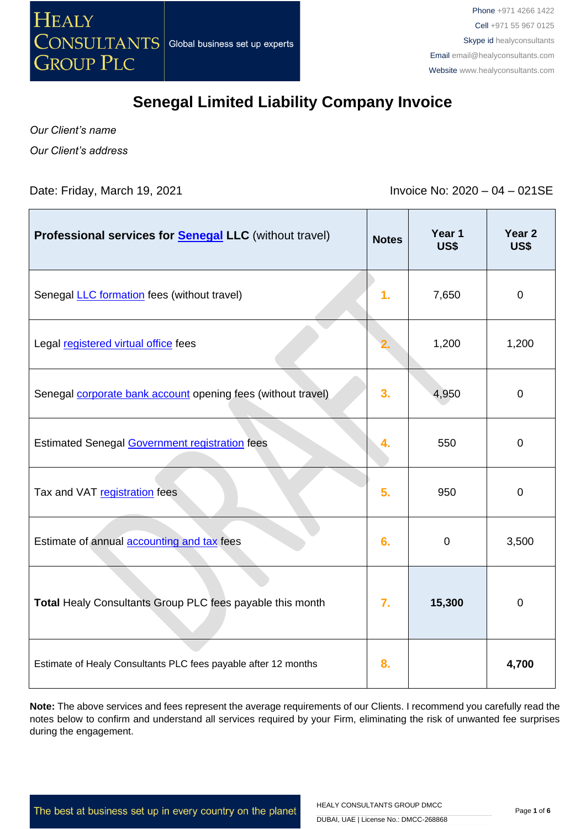

*Our Client's name Our Client's address*

Date: Friday, March 19, 2021 **Invoice No: 2020 – 04 – 021SE** 

| Professional services for <b>Senegal LLC</b> (without travel)  | <b>Notes</b>     | Year 1<br>US\$ | Year 2<br><b>US\$</b> |
|----------------------------------------------------------------|------------------|----------------|-----------------------|
| Senegal LLC formation fees (without travel)                    | 1.               | 7,650          | $\mathbf 0$           |
| Legal registered virtual office fees                           |                  | 1,200          | 1,200                 |
| Senegal corporate bank account opening fees (without travel)   | 3.               | 4,950          | $\overline{0}$        |
| <b>Estimated Senegal Government registration fees</b>          | 4.               | 550            | $\mathbf{0}$          |
| Tax and VAT registration fees                                  | 5.               | 950            | $\mathbf{0}$          |
| Estimate of annual accounting and tax fees                     | 6.               | $\mathbf 0$    | 3,500                 |
| Total Healy Consultants Group PLC fees payable this month      | $\overline{7}$ . | 15,300         | $\overline{0}$        |
| Estimate of Healy Consultants PLC fees payable after 12 months | 8.               |                | 4,700                 |

**Note:** The above services and fees represent the average requirements of our Clients. I recommend you carefully read the notes below to confirm and understand all services required by your Firm, eliminating the risk of unwanted fee surprises during the engagement.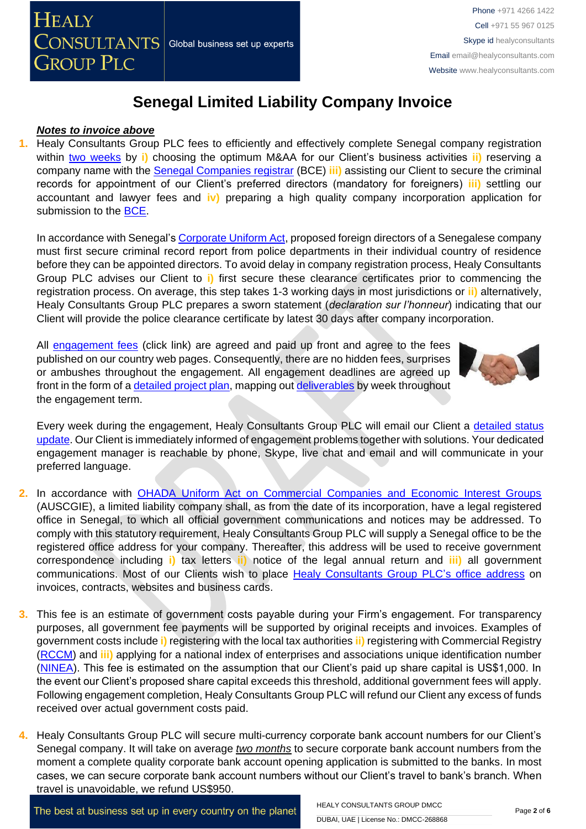#### *Notes to invoice above*

**1.** Healy Consultants Group PLC fees to efficiently and effectively complete Senegal company registration within two [weeks](http://www.healyconsultants.com/senegal-company-registration/fees-timelines/) by **i)** choosing the optimum M&AA for our Client's business activities **ii)** reserving a company name with the [Senegal Companies registrar](http://creationdentreprise.sn/les-formalites-de-creation) (BCE) **iii)** assisting our Client to secure the criminal records for appointment of our Client's preferred directors (mandatory for foreigners) **iii)** settling our accountant and lawyer fees and **iv)** preparing a high quality company incorporation application for submission to the [BCE.](http://creationdentreprise.sn/les-formalites-de-creation)

In accordance with Senegal's [Corporate Uniform Act,](https://www.ohada.org/attachments/article/537/AUSCGIE-EN_Unofficial_Translation.pdf) proposed foreign directors of a Senegalese company must first secure criminal record report from police departments in their individual country of residence before they can be appointed directors. To avoid delay in company registration process, Healy Consultants Group PLC advises our Client to **i)** first secure these clearance certificates prior to commencing the registration process. On average, this step takes 1-3 working days in most jurisdictions or **ii)** alternatively, Healy Consultants Group PLC prepares a sworn statement (*declaration sur l'honneur*) indicating that our Client will provide the police clearance certificate by latest 30 days after company incorporation.

All [engagement fees](http://www.healyconsultants.com/company-registration-fees/) (click link) are agreed and paid up front and agree to the fees published on our country web pages. Consequently, there are no hidden fees, surprises or ambushes throughout the engagement. All engagement deadlines are agreed up front in the form of a [detailed project plan,](http://www.healyconsultants.com/index-important-links/example-project-plan/) mapping out [deliverables](http://www.healyconsultants.com/deliverables-to-our-clients/) by week throughout the engagement term.



Every week during the engagement, Healy Consultants Group PLC will email our Client a [detailed status](http://www.healyconsultants.com/index-important-links/weekly-engagement-status-email/)  [update.](http://www.healyconsultants.com/index-important-links/weekly-engagement-status-email/) Our Client is immediately informed of engagement problems together with solutions. Your dedicated engagement manager is reachable by phone, Skype, live chat and email and will communicate in your preferred language.

- **2.** In accordance with [OHADA Uniform Act on Commercial Companies and Economic Interest Groups](http://www.ohadalegis.com/anglais/tableaustescomgb1.htm) (AUSCGIE), a limited liability company shall, as from the date of its incorporation, have a legal registered office in Senegal, to which all official government communications and notices may be addressed. To comply with this statutory requirement, Healy Consultants Group PLC will supply a Senegal office to be the registered office address for your company. Thereafter, this address will be used to receive government correspondence including **i)** tax letters **ii)** notice of the legal annual return and **iii)** all government communications. Most of our Clients wish to place [Healy Consultants Group PLC's](http://www.healyconsultants.com/corporate-outsourcing-services/company-secretary-and-legal-registered-office/) office address on invoices, contracts, websites and business cards.
- **3.** This fee is an estimate of government costs payable during your Firm's engagement. For transparency purposes, all government fee payments will be supported by original receipts and invoices. Examples of government costs include **i)** registering with the local tax authorities **ii)** registering with Commercial Registry [\(RCCM\)](http://www.servicepublic.gouv.sn/index.php/demarche_administrative/demarche/1/196) and **iii)** applying for a national index of enterprises and associations unique identification number [\(NINEA\)](http://www.impotsetdomaines.gouv.sn/fr/quest-ce-que-le-ninea). This fee is estimated on the assumption that our Client's paid up share capital is US\$1,000. In the event our Client's proposed share capital exceeds this threshold, additional government fees will apply. Following engagement completion, Healy Consultants Group PLC will refund our Client any excess of funds received over actual government costs paid.
- **4.** Healy Consultants Group PLC will secure multi-currency corporate bank account numbers for our Client's Senegal company. It will take on average *two months* to secure corporate bank account numbers from the moment a complete quality corporate bank account opening application is submitted to the banks. In most cases, we can secure corporate bank account numbers without our Client's travel to bank's branch. When travel is unavoidable, we refund US\$950.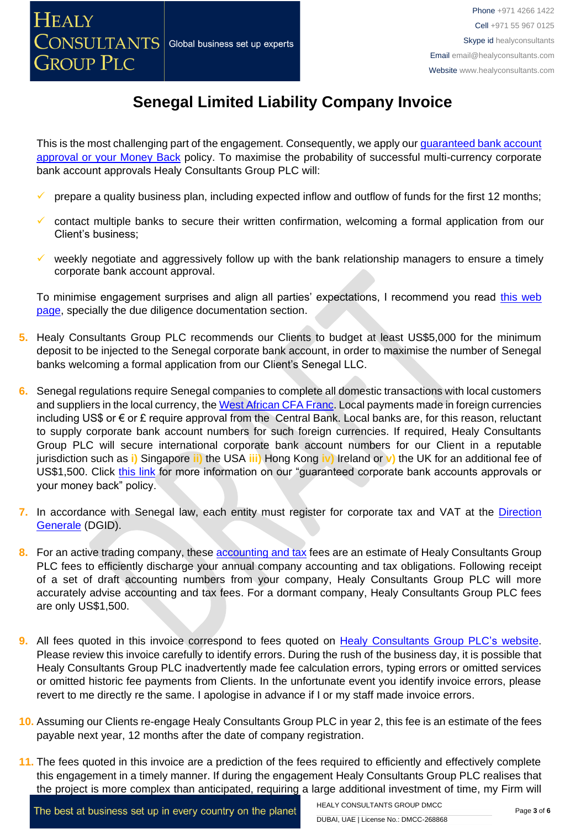This is the most challenging part of the engagement. Consequently, we apply our quaranteed bank account [approval or your Money Back](https://www.healyconsultants.com/corporate-banking-services/guaranteed-corporate-bank-account-approvals/) policy. To maximise the probability of successful multi-currency corporate bank account approvals Healy Consultants Group PLC will:

- prepare a quality business plan, including expected inflow and outflow of funds for the first 12 months;
- contact multiple banks to secure their written confirmation, welcoming a formal application from our Client's business;
- weekly negotiate and aggressively follow up with the bank relationship managers to ensure a timely corporate bank account approval.

To minimise engagement surprises and align all parties' expectations, I recommend you read [this web](https://www.healyconsultants.com/multi-currency-corporate-bank-account/)  [page,](https://www.healyconsultants.com/multi-currency-corporate-bank-account/) specially the due diligence documentation section.

- **5.** Healy Consultants Group PLC recommends our Clients to budget at least US\$5,000 for the minimum deposit to be injected to the Senegal corporate bank account, in order to maximise the number of Senegal banks welcoming a formal application from our Client's Senegal LLC.
- **6.** Senegal regulations require Senegal companies to complete all domestic transactions with local customers and suppliers in the local currency, th[e West African CFA Franc.](https://www.imf.org/external/pubs/ft/fabric/backgrnd.htm) Local payments made in foreign currencies including US\$ or € or £ require approval from the Central Bank. Local banks are, for this reason, reluctant to supply corporate bank account numbers for such foreign currencies. If required, Healy Consultants Group PLC will secure international corporate bank account numbers for our Client in a reputable jurisdiction such as **i)** Singapore **ii)** the USA **iii)** Hong Kong **iv)** Ireland or **v)** the UK for an additional fee of US\$1,500. Click [this link](https://www.healyconsultants.com/corporate-banking-services/guaranteed-corporate-bank-account-approvals/) for more information on our "guaranteed corporate bank accounts approvals or your money back" policy.
- 7. In accordance with Senegal law, each entity must register for corporate tax and VAT at the Direction [Generale](http://www.impotsetdomaines.gouv.sn/) (DGID).
- 8. For an active trading company, these **accounting and tax** fees are an estimate of Healy Consultants Group PLC fees to efficiently discharge your annual company accounting and tax obligations. Following receipt of a set of draft accounting numbers from your company, Healy Consultants Group PLC will more accurately advise accounting and tax fees. For a dormant company, Healy Consultants Group PLC fees are only US\$1,500.
- **9.** All fees quoted in this invoice correspond to fees quoted on [Healy Consultants Group PLC's website.](http://www.healyconsultants.com/company-registration-fees/) Please review this invoice carefully to identify errors. During the rush of the business day, it is possible that Healy Consultants Group PLC inadvertently made fee calculation errors, typing errors or omitted services or omitted historic fee payments from Clients. In the unfortunate event you identify invoice errors, please revert to me directly re the same. I apologise in advance if I or my staff made invoice errors.
- **10.** Assuming our Clients re-engage Healy Consultants Group PLC in year 2, this fee is an estimate of the fees payable next year, 12 months after the date of company registration.
- **11.** The fees quoted in this invoice are a prediction of the fees required to efficiently and effectively complete this engagement in a timely manner. If during the engagement Healy Consultants Group PLC realises that the project is more complex than anticipated, requiring a large additional investment of time, my Firm will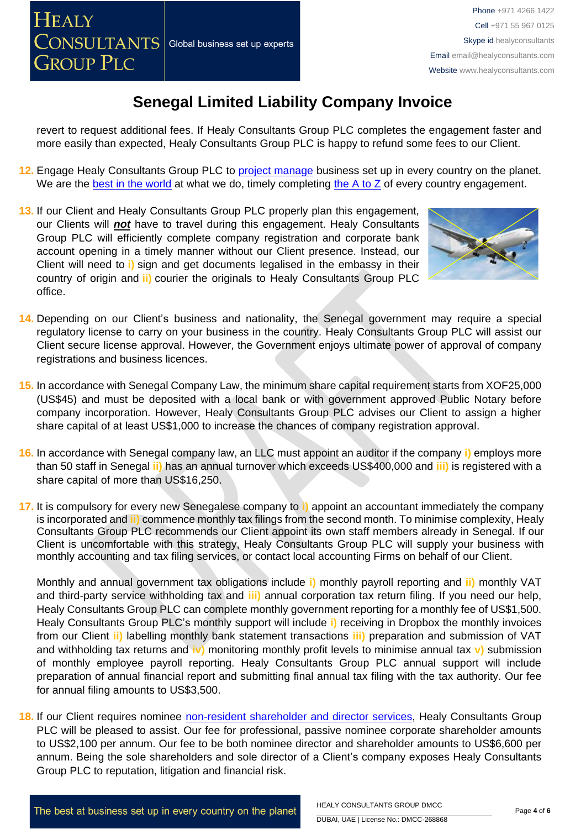revert to request additional fees. If Healy Consultants Group PLC completes the engagement faster and more easily than expected, Healy Consultants Group PLC is happy to refund some fees to our Client.

- **12.** Engage Healy Consultants Group PLC to [project manage](http://www.healyconsultants.com/project-manage-engagements/) business set up in every country on the planet. We are the [best in the world](http://www.healyconsultants.com/best-in-the-world/) at what we do, timely completing [the A to Z](http://www.healyconsultants.com/a-to-z-of-business-set-up/) of every country engagement.
- **13.** If our Client and Healy Consultants Group PLC properly plan this engagement, our Clients will *not* have to travel during this engagement. Healy Consultants Group PLC will efficiently complete company registration and corporate bank account opening in a timely manner without our Client presence. Instead, our Client will need to **i)** sign and get documents legalised in the embassy in their country of origin and **ii)** courier the originals to Healy Consultants Group PLC office.



- **14.** Depending on our Client's business and nationality, the Senegal government may require a special regulatory license to carry on your business in the country. Healy Consultants Group PLC will assist our Client secure license approval. However, the Government enjoys ultimate power of approval of company registrations and business licences.
- **15.** In accordance with Senegal Company Law, the minimum share capital requirement starts from XOF25,000 (US\$45) and must be deposited with a local bank or with government approved Public Notary before company incorporation. However, Healy Consultants Group PLC advises our Client to assign a higher share capital of at least US\$1,000 to increase the chances of company registration approval.
- **16.** In accordance with Senegal company law, an LLC must appoint an auditor if the company **i)** employs more than 50 staff in Senegal **ii)** has an annual turnover which exceeds US\$400,000 and **iii)** is registered with a share capital of more than US\$16,250.
- **17.** It is compulsory for every new Senegalese company to **i)** appoint an accountant immediately the company is incorporated and **ii)** commence monthly tax filings from the second month. To minimise complexity, Healy Consultants Group PLC recommends our Client appoint its own staff members already in Senegal. If our Client is uncomfortable with this strategy, Healy Consultants Group PLC will supply your business with monthly accounting and tax filing services, or contact local accounting Firms on behalf of our Client.

Monthly and annual government tax obligations include **i)** monthly payroll reporting and **ii)** monthly VAT and third-party service withholding tax and **iii)** annual corporation tax return filing. If you need our help, Healy Consultants Group PLC can complete monthly government reporting for a monthly fee of US\$1,500. Healy Consultants Group PLC's monthly support will include **i)** receiving in Dropbox the monthly invoices from our Client **ii)** labelling monthly bank statement transactions **iii)** preparation and submission of VAT and withholding tax returns and **iv)** monitoring monthly profit levels to minimise annual tax **v)** submission of monthly employee payroll reporting. Healy Consultants Group PLC annual support will include preparation of annual financial report and submitting final annual tax filing with the tax authority. Our fee for annual filing amounts to US\$3,500.

**18.** If our Client requires nominee [non-resident shareholder and director services,](http://www.healyconsultants.com/corporate-outsourcing-services/nominee-shareholders-directors/) Healy Consultants Group PLC will be pleased to assist. Our fee for professional, passive nominee corporate shareholder amounts to US\$2,100 per annum. Our fee to be both nominee director and shareholder amounts to US\$6,600 per annum. Being the sole shareholders and sole director of a Client's company exposes Healy Consultants Group PLC to reputation, litigation and financial risk.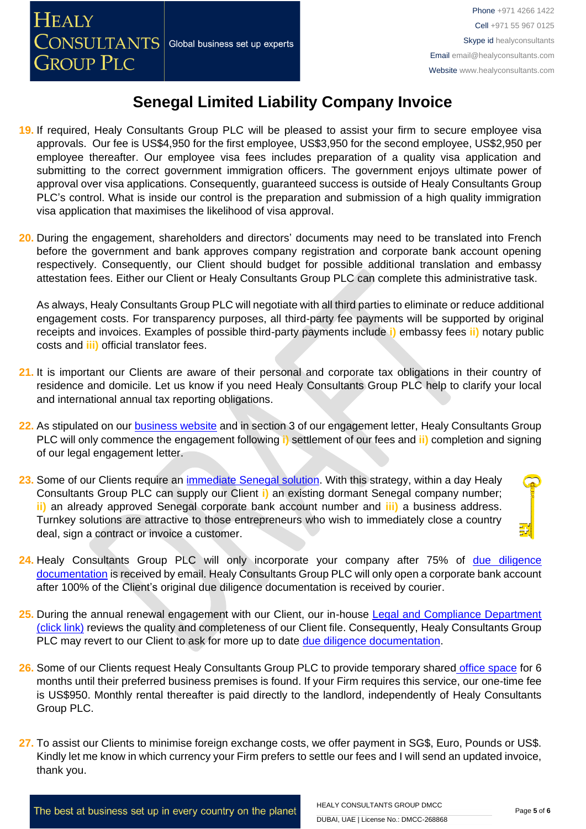- **19.** If required, Healy Consultants Group PLC will be pleased to assist your firm to secure employee visa approvals. Our fee is US\$4,950 for the first employee, US\$3,950 for the second employee, US\$2,950 per employee thereafter. Our employee visa fees includes preparation of a quality visa application and submitting to the correct government immigration officers. The government enjoys ultimate power of approval over visa applications. Consequently, guaranteed success is outside of Healy Consultants Group PLC's control. What is inside our control is the preparation and submission of a high quality immigration visa application that maximises the likelihood of visa approval.
- **20.** During the engagement, shareholders and directors' documents may need to be translated into French before the government and bank approves company registration and corporate bank account opening respectively. Consequently, our Client should budget for possible additional translation and embassy attestation fees. Either our Client or Healy Consultants Group PLC can complete this administrative task.

As always, Healy Consultants Group PLC will negotiate with all third parties to eliminate or reduce additional engagement costs. For transparency purposes, all third-party fee payments will be supported by original receipts and invoices. Examples of possible third-party payments include **i)** embassy fees **ii)** notary public costs and **iii)** official translator fees.

- **21.** It is important our Clients are aware of their personal and corporate tax obligations in their country of residence and domicile. Let us know if you need Healy Consultants Group PLC help to clarify your local and international annual tax reporting obligations.
- **22.** As stipulated on our [business website](http://www.healyconsultants.com/) and in section 3 of our engagement letter, Healy Consultants Group PLC will only commence the engagement following **i)** settlement of our fees and **ii)** completion and signing of our legal engagement letter.
- **23.** Some of our Clients require an [immediate Senegal](http://www.healyconsultants.com/turnkey-solutions/) solution. With this strategy, within a day Healy Consultants Group PLC can supply our Client **i)** an existing dormant Senegal company number; **ii)** an already approved Senegal corporate bank account number and **iii)** a business address. Turnkey solutions are attractive to those entrepreneurs who wish to immediately close a country deal, sign a contract or invoice a customer.
- **24.** Healy Consultants Group PLC will only incorporate your company after 75% of [due diligence](http://www.healyconsultants.com/due-diligence/)  [documentation](http://www.healyconsultants.com/due-diligence/) is received by email. Healy Consultants Group PLC will only open a corporate bank account after 100% of the Client's original due diligence documentation is received by courier.
- 25. During the annual renewal engagement with our Client, our in-house Legal and Compliance Department [\(click link\)](http://www.healyconsultants.com/about-us/key-personnel/cai-xin-profile/) reviews the quality and completeness of our Client file. Consequently, Healy Consultants Group PLC may revert to our Client to ask for more up to date [due diligence documentation.](http://www.healyconsultants.com/due-diligence/)
- **26.** Some of our Clients request Healy Consultants Group PLC to provide temporary shared [office space](http://www.healyconsultants.com/virtual-office/) for 6 months until their preferred business premises is found. If your Firm requires this service, our one-time fee is US\$950. Monthly rental thereafter is paid directly to the landlord, independently of Healy Consultants Group PLC.
- **27.** To assist our Clients to minimise foreign exchange costs, we offer payment in SG\$, Euro, Pounds or US\$. Kindly let me know in which currency your Firm prefers to settle our fees and I will send an updated invoice, thank you.